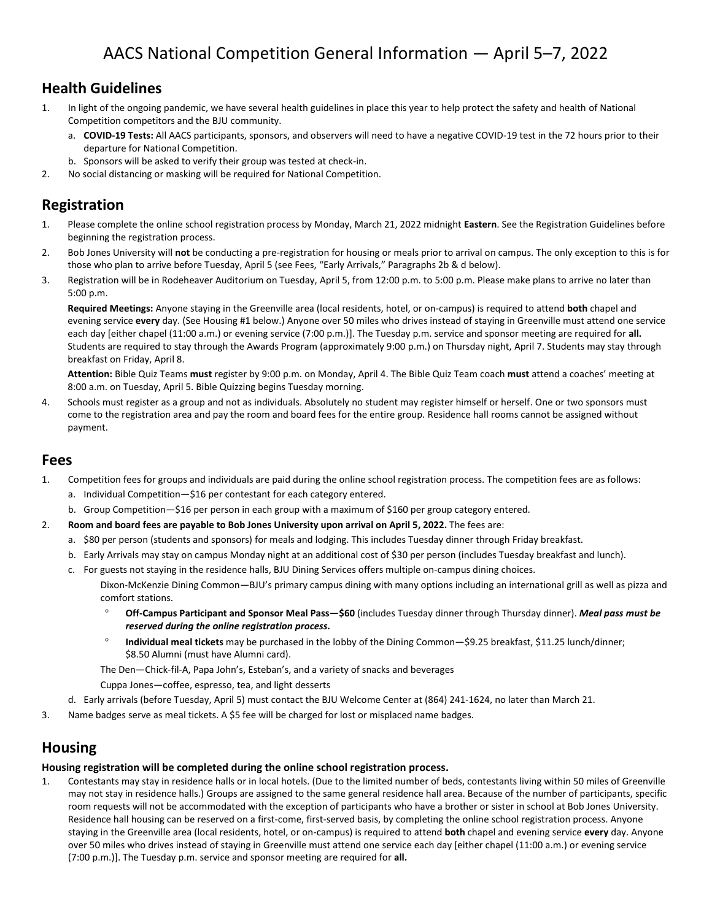### **Health Guidelines**

- 1. In light of the ongoing pandemic, we have several health guidelines in place this year to help protect the safety and health of National Competition competitors and the BJU community.
	- a. **COVID-19 Tests:** All AACS participants, sponsors, and observers will need to have a negative COVID-19 test in the 72 hours prior to their departure for National Competition.
	- b. Sponsors will be asked to verify their group was tested at check-in.
- 2. No social distancing or masking will be required for National Competition.

### **Registration**

- 1. Please complete the online school registration process by Monday, March 21, 2022 midnight **Eastern**. See the Registration Guidelines before beginning the registration process.
- 2. Bob Jones University will **not** be conducting a pre-registration for housing or meals prior to arrival on campus. The only exception to this is for those who plan to arrive before Tuesday, April 5 (see Fees, "Early Arrivals," Paragraphs 2b & d below).
- 3. Registration will be in Rodeheaver Auditorium on Tuesday, April 5, from 12:00 p.m. to 5:00 p.m. Please make plans to arrive no later than 5:00 p.m.

**Required Meetings:** Anyone staying in the Greenville area (local residents, hotel, or on-campus) is required to attend **both** chapel and evening service **every** day. (See Housing #1 below.) Anyone over 50 miles who drives instead of staying in Greenville must attend one service each day [either chapel (11:00 a.m.) or evening service (7:00 p.m.)]. The Tuesday p.m. service and sponsor meeting are required for **all.** Students are required to stay through the Awards Program (approximately 9:00 p.m.) on Thursday night, April 7. Students may stay through breakfast on Friday, April 8.

**Attention:** Bible Quiz Teams **must** register by 9:00 p.m. on Monday, April 4. The Bible Quiz Team coach **must** attend a coaches' meeting at 8:00 a.m. on Tuesday, April 5. Bible Quizzing begins Tuesday morning.

4. Schools must register as a group and not as individuals. Absolutely no student may register himself or herself. One or two sponsors must come to the registration area and pay the room and board fees for the entire group. Residence hall rooms cannot be assigned without payment.

### **Fees**

- 1. Competition fees for groups and individuals are paid during the online school registration process. The competition fees are as follows:
	- a. Individual Competition—\$16 per contestant for each category entered.
	- b. Group Competition—\$16 per person in each group with a maximum of \$160 per group category entered.
- 2. **Room and board fees are payable to Bob Jones University upon arrival on April 5, 2022.** The fees are:
	- a. \$80 per person (students and sponsors) for meals and lodging. This includes Tuesday dinner through Friday breakfast.
	- b. Early Arrivals may stay on campus Monday night at an additional cost of \$30 per person (includes Tuesday breakfast and lunch).
	- c. For guests not staying in the residence halls, BJU Dining Services offers multiple on-campus dining choices. Dixon-McKenzie Dining Common—BJU's primary campus dining with many options including an international grill as well as pizza and comfort stations.
		- **Off-Campus Participant and Sponsor Meal Pass—\$60** (includes Tuesday dinner through Thursday dinner). *Meal pass must be reserved during the online registration process.*
		- <sup>o</sup> Individual meal tickets may be purchased in the lobby of the Dining Common—\$9.25 breakfast, \$11.25 lunch/dinner; \$8.50 Alumni (must have Alumni card).

The Den—Chick-fil-A, Papa John's, Esteban's, and a variety of snacks and beverages

Cuppa Jones—coffee, espresso, tea, and light desserts

- d. Early arrivals (before Tuesday, April 5) must contact the BJU Welcome Center at (864) 241-1624, no later than March 21.
- 3. Name badges serve as meal tickets. A \$5 fee will be charged for lost or misplaced name badges.

### **Housing**

#### **Housing registration will be completed during the online school registration process.**

1. Contestants may stay in residence halls or in local hotels. (Due to the limited number of beds, contestants living within 50 miles of Greenville may not stay in residence halls.) Groups are assigned to the same general residence hall area. Because of the number of participants, specific room requests will not be accommodated with the exception of participants who have a brother or sister in school at Bob Jones University. Residence hall housing can be reserved on a first-come, first-served basis, by completing the online school registration process. Anyone staying in the Greenville area (local residents, hotel, or on-campus) is required to attend **both** chapel and evening service **every** day. Anyone over 50 miles who drives instead of staying in Greenville must attend one service each day [either chapel (11:00 a.m.) or evening service (7:00 p.m.)]. The Tuesday p.m. service and sponsor meeting are required for **all.**